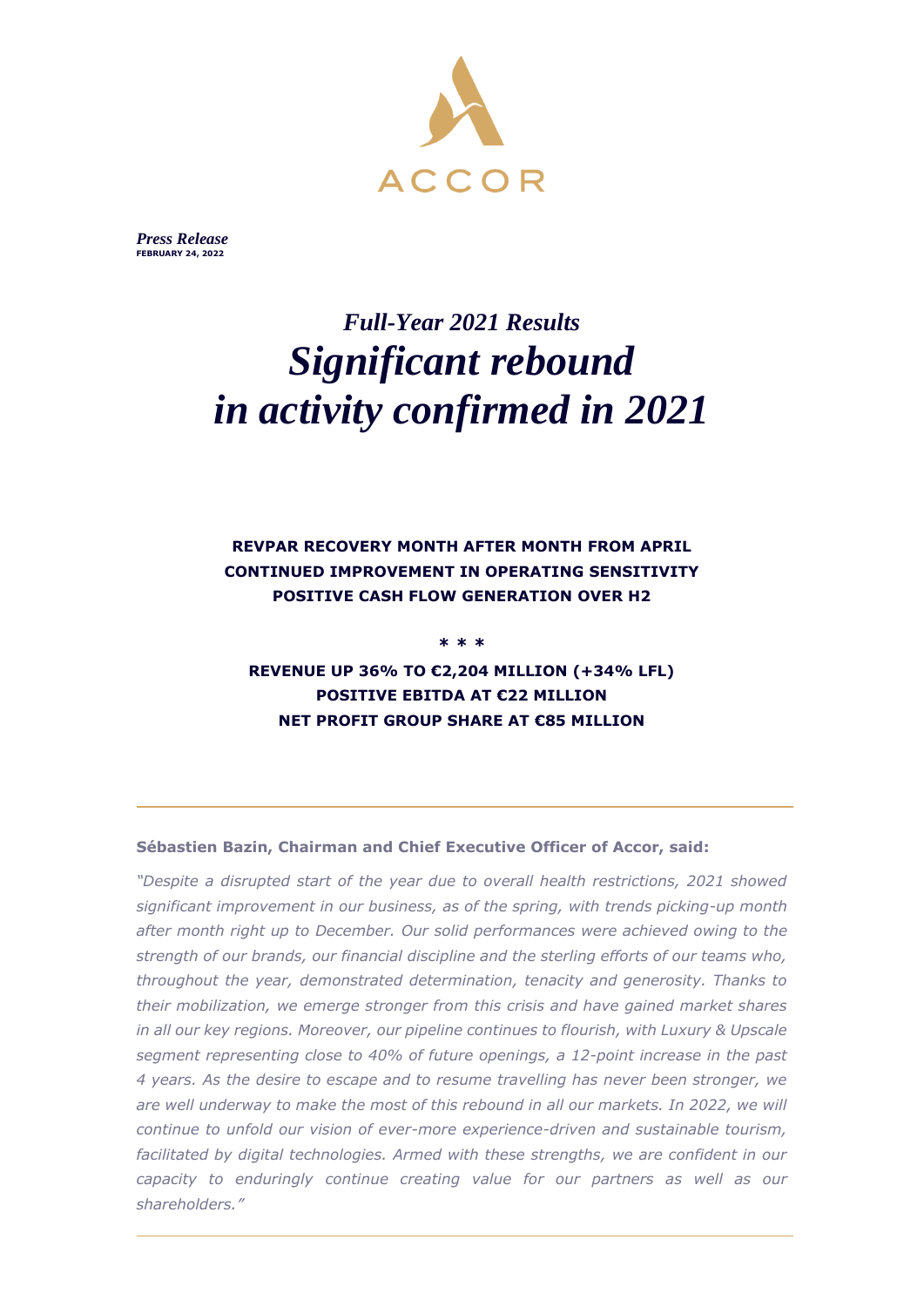

*Press Release* **MARCH XX, 2022 FEBRUARY 24, 2022**

# *Full-Year 2021 Results Significant rebound in activity confirmed in 2021*

**REVPAR RECOVERY MONTH AFTER MONTH FROM APRIL CONTINUED IMPROVEMENT IN OPERATING SENSITIVITY POSITIVE CASH FLOW GENERATION OVER H2**

**\* \* \***

**REVENUE UP 36% TO €2,204 MILLION (+34% LFL) POSITIVE EBITDA AT €22 MILLION NET PROFIT GROUP SHARE AT €85 MILLION**

#### **Sébastien Bazin, Chairman and Chief Executive Officer of Accor, said:**

*"Despite a disrupted start of the year due to overall health restrictions, 2021 showed significant improvement in our business, as of the spring, with trends picking-up month after month right up to December. Our solid performances were achieved owing to the strength of our brands, our financial discipline and the sterling efforts of our teams who, throughout the year, demonstrated determination, tenacity and generosity. Thanks to their mobilization, we emerge stronger from this crisis and have gained market shares in all our key regions. Moreover, our pipeline continues to flourish, with Luxury & Upscale segment representing close to 40% of future openings, a 12-point increase in the past 4 years. As the desire to escape and to resume travelling has never been stronger, we*  are well underway to make the most of this rebound in all our markets. In 2022, we will *continue to unfold our vision of ever-more experience-driven and sustainable tourism, facilitated by digital technologies. Armed with these strengths, we are confident in our capacity to enduringly continue creating value for our partners as well as our shareholders."*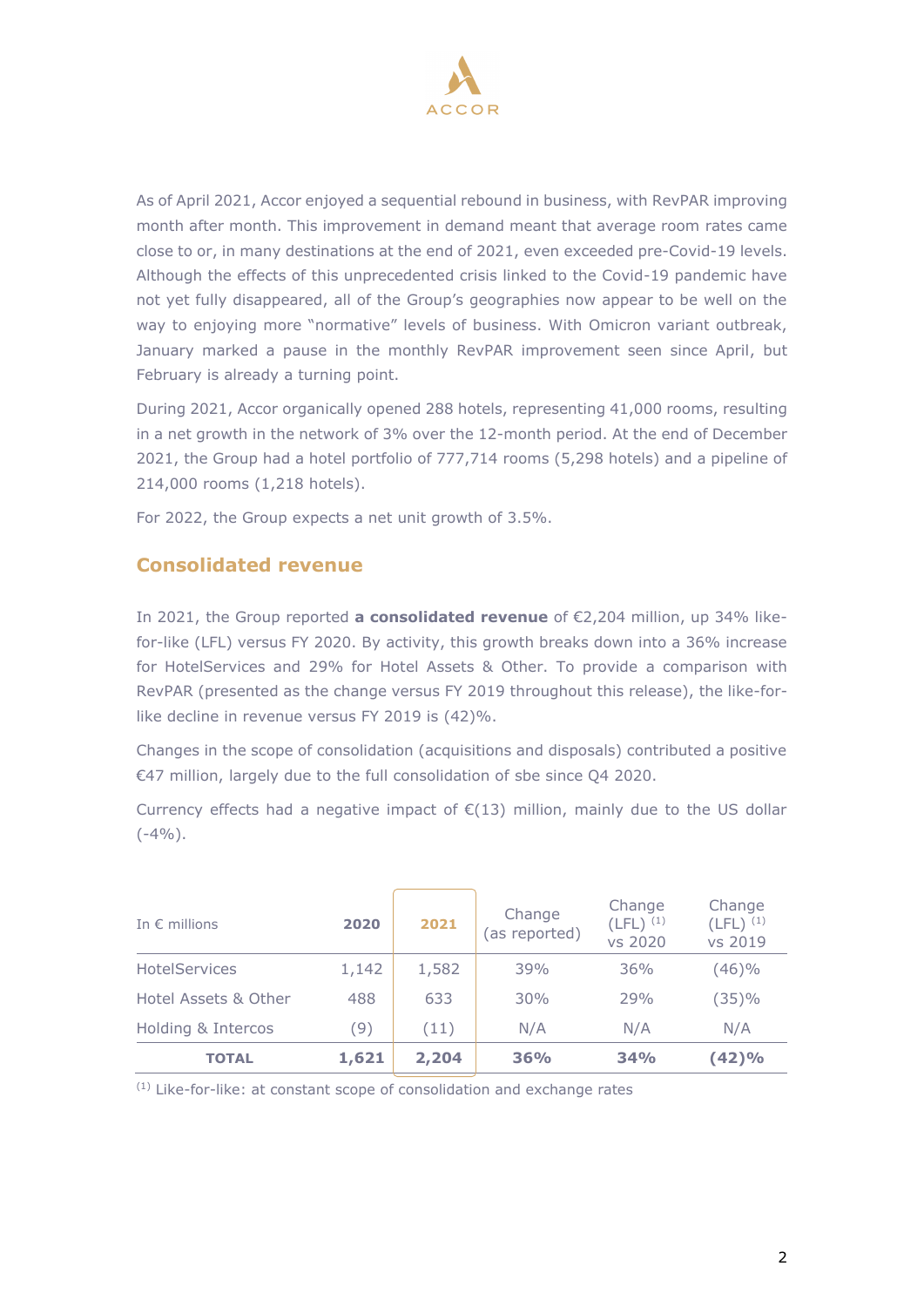

As of April 2021, Accor enjoyed a sequential rebound in business, with RevPAR improving month after month. This improvement in demand meant that average room rates came close to or, in many destinations at the end of 2021, even exceeded pre-Covid-19 levels. Although the effects of this unprecedented crisis linked to the Covid-19 pandemic have not yet fully disappeared, all of the Group's geographies now appear to be well on the way to enjoying more "normative" levels of business. With Omicron variant outbreak, January marked a pause in the monthly RevPAR improvement seen since April, but February is already a turning point.

During 2021, Accor organically opened 288 hotels, representing 41,000 rooms, resulting in a net growth in the network of 3% over the 12-month period. At the end of December 2021, the Group had a hotel portfolio of 777,714 rooms (5,298 hotels) and a pipeline of 214,000 rooms (1,218 hotels).

For 2022, the Group expects a net unit growth of 3.5%.

# **Consolidated revenue**

In 2021, the Group reported **a consolidated revenue** of €2,204 million, up 34% likefor-like (LFL) versus FY 2020. By activity, this growth breaks down into a 36% increase for HotelServices and 29% for Hotel Assets & Other. To provide a comparison with RevPAR (presented as the change versus FY 2019 throughout this release), the like-forlike decline in revenue versus FY 2019 is (42)%.

Changes in the scope of consolidation (acquisitions and disposals) contributed a positive €47 million, largely due to the full consolidation of sbe since Q4 2020.

Currency effects had a negative impact of  $\epsilon$ (13) million, mainly due to the US dollar  $(-4%)$ .

| <b>TOTAL</b>           | 1,621 | 2,204 | 36%                     | 34%                                | (42)%                              |
|------------------------|-------|-------|-------------------------|------------------------------------|------------------------------------|
| Holding & Intercos     | (9)   | (11)  | N/A                     | N/A                                | N/A                                |
| Hotel Assets & Other   | 488   | 633   | 30%                     | 29%                                | (35)%                              |
| <b>HotelServices</b>   | 1,142 | 1,582 | 39%                     | 36%                                | (46)%                              |
| In $\epsilon$ millions | 2020  | 2021  | Change<br>(as reported) | Change<br>$(LFL)^{(1)}$<br>vs 2020 | Change<br>$(LFL)^{(1)}$<br>vs 2019 |

(1) Like-for-like: at constant scope of consolidation and exchange rates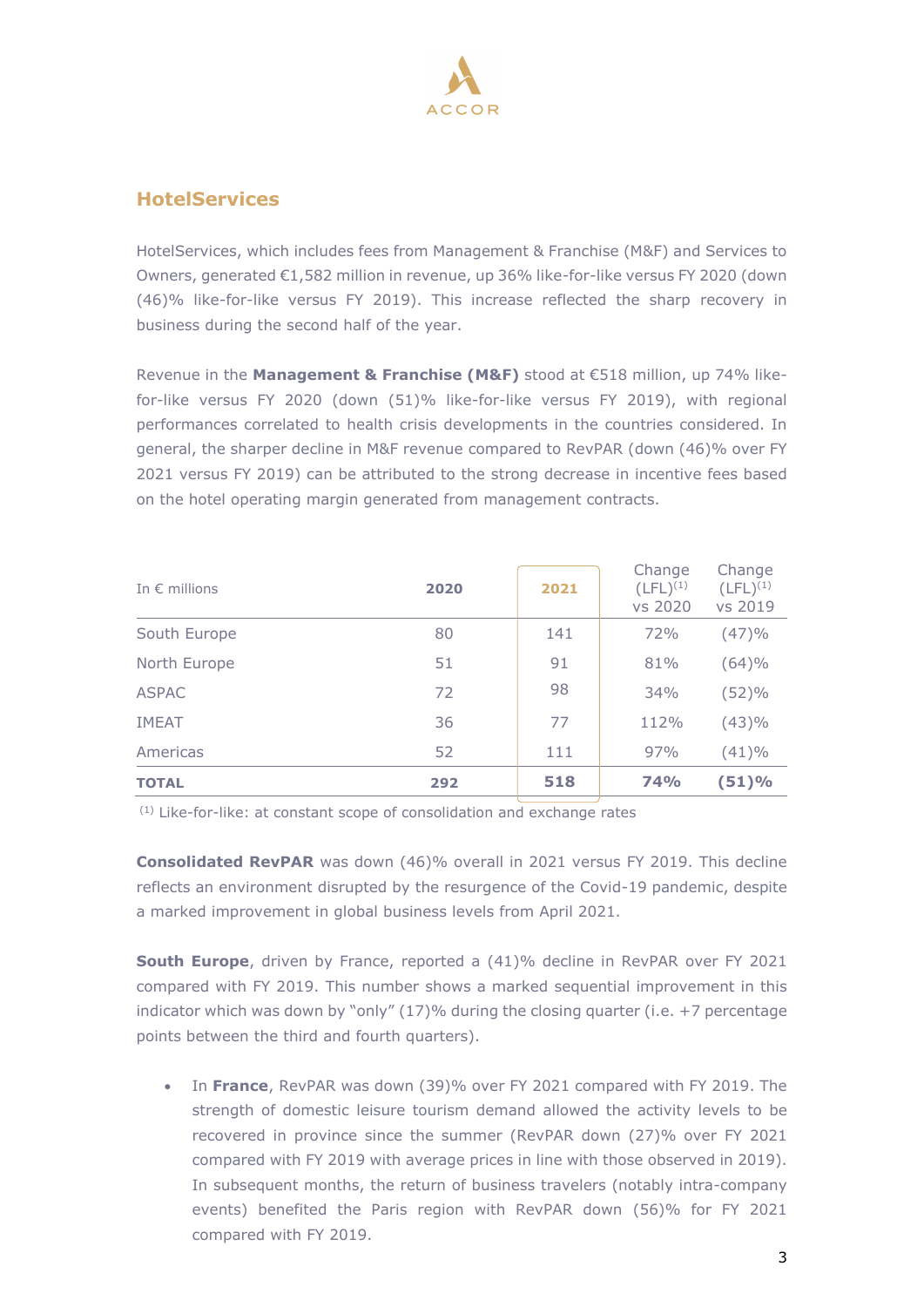

# **HotelServices**

HotelServices, which includes fees from Management & Franchise (M&F) and Services to Owners, generated €1,582 million in revenue, up 36% like-for-like versus FY 2020 (down (46)% like-for-like versus FY 2019). This increase reflected the sharp recovery in business during the second half of the year.

Revenue in the **Management & Franchise (M&F)** stood at €518 million, up 74% likefor-like versus FY 2020 (down (51)% like-for-like versus FY 2019), with regional performances correlated to health crisis developments in the countries considered. In general, the sharper decline in M&F revenue compared to RevPAR (down (46)% over FY 2021 versus FY 2019) can be attributed to the strong decrease in incentive fees based on the hotel operating margin generated from management contracts.

| <b>TOTAL</b>           | 292  | 518  | <b>74%</b>                         | (51)%                              |
|------------------------|------|------|------------------------------------|------------------------------------|
| Americas               | 52   | 111  | 97%                                | (41)%                              |
| <b>IMEAT</b>           | 36   | 77   | 112%                               | (43)%                              |
| <b>ASPAC</b>           | 72   | 98   | 34%                                | (52)%                              |
| North Europe           | 51   | 91   | 81%                                | (64)%                              |
| South Europe           | 80   | 141  | 72%                                | (47)%                              |
| In $\epsilon$ millions | 2020 | 2021 | Change<br>$(LFL)^{(1)}$<br>vs 2020 | Change<br>$(LFL)^{(1)}$<br>vs 2019 |

(1) Like-for-like: at constant scope of consolidation and exchange rates

**Consolidated RevPAR** was down (46)% overall in 2021 versus FY 2019. This decline reflects an environment disrupted by the resurgence of the Covid-19 pandemic, despite a marked improvement in global business levels from April 2021.

**South Europe**, driven by France, reported a (41)% decline in RevPAR over FY 2021 compared with FY 2019. This number shows a marked sequential improvement in this indicator which was down by "only"  $(17)$ % during the closing quarter (i.e.  $+7$  percentage points between the third and fourth quarters).

• In **France**, RevPAR was down (39)% over FY 2021 compared with FY 2019. The strength of domestic leisure tourism demand allowed the activity levels to be recovered in province since the summer (RevPAR down (27)% over FY 2021 compared with FY 2019 with average prices in line with those observed in 2019). In subsequent months, the return of business travelers (notably intra-company events) benefited the Paris region with RevPAR down (56)% for FY 2021 compared with FY 2019.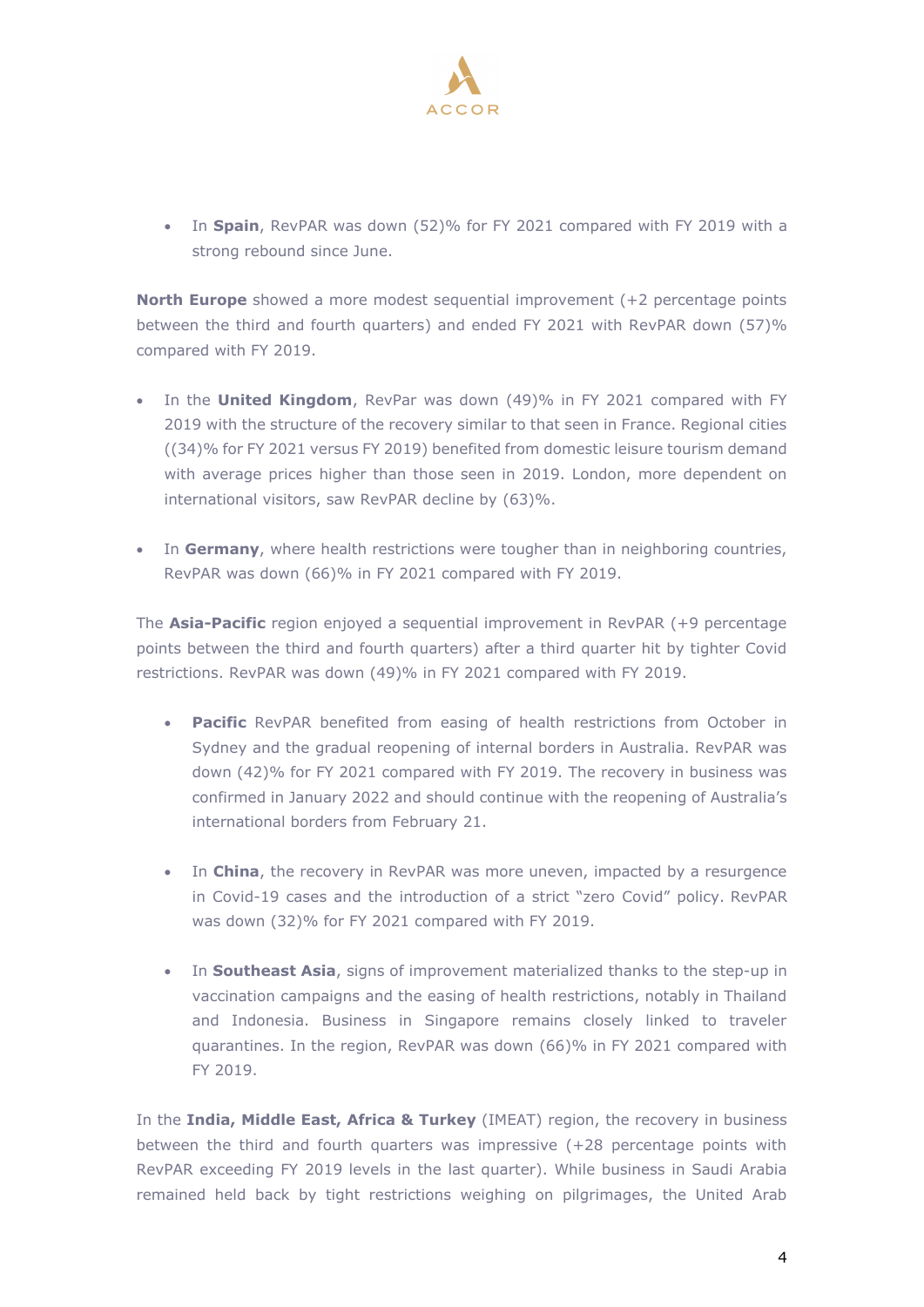

• In **Spain**, RevPAR was down (52)% for FY 2021 compared with FY 2019 with a strong rebound since June.

**North Europe** showed a more modest sequential improvement (+2 percentage points between the third and fourth quarters) and ended FY 2021 with RevPAR down (57)% compared with FY 2019.

- In the **United Kingdom**, RevPar was down (49)% in FY 2021 compared with FY 2019 with the structure of the recovery similar to that seen in France. Regional cities ((34)% for FY 2021 versus FY 2019) benefited from domestic leisure tourism demand with average prices higher than those seen in 2019. London, more dependent on international visitors, saw RevPAR decline by (63)%.
- In **Germany**, where health restrictions were tougher than in neighboring countries, RevPAR was down (66)% in FY 2021 compared with FY 2019.

The **Asia-Pacific** region enjoyed a sequential improvement in RevPAR (+9 percentage points between the third and fourth quarters) after a third quarter hit by tighter Covid restrictions. RevPAR was down (49)% in FY 2021 compared with FY 2019.

- **Pacific** RevPAR benefited from easing of health restrictions from October in Sydney and the gradual reopening of internal borders in Australia. RevPAR was down (42)% for FY 2021 compared with FY 2019. The recovery in business was confirmed in January 2022 and should continue with the reopening of Australia's international borders from February 21.
- In **China**, the recovery in RevPAR was more uneven, impacted by a resurgence in Covid-19 cases and the introduction of a strict "zero Covid" policy. RevPAR was down (32)% for FY 2021 compared with FY 2019.
- In **Southeast Asia**, signs of improvement materialized thanks to the step-up in vaccination campaigns and the easing of health restrictions, notably in Thailand and Indonesia. Business in Singapore remains closely linked to traveler quarantines. In the region, RevPAR was down (66)% in FY 2021 compared with FY 2019.

In the **India, Middle East, Africa & Turkey** (IMEAT) region, the recovery in business between the third and fourth quarters was impressive (+28 percentage points with RevPAR exceeding FY 2019 levels in the last quarter). While business in Saudi Arabia remained held back by tight restrictions weighing on pilgrimages, the United Arab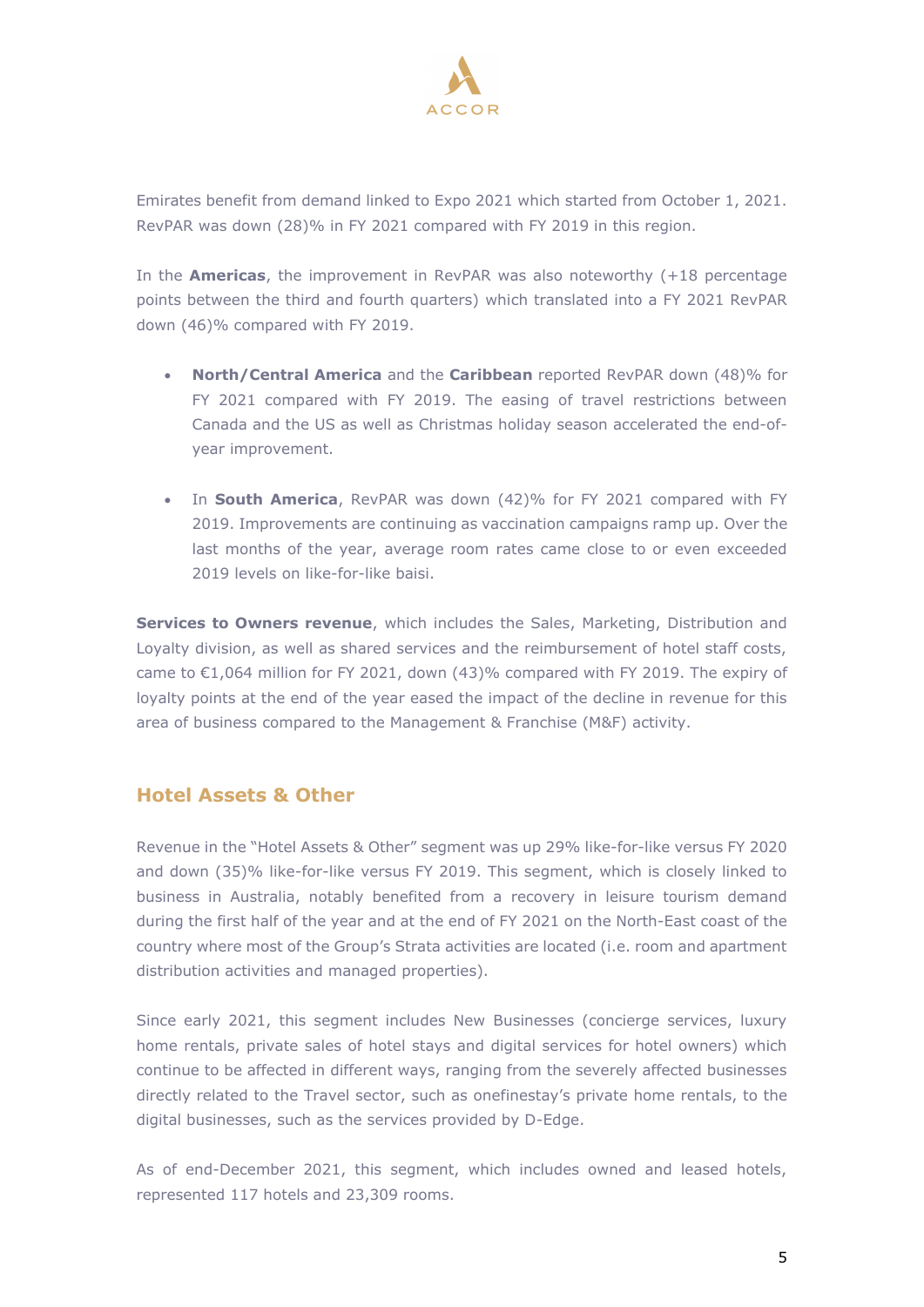

Emirates benefit from demand linked to Expo 2021 which started from October 1, 2021. RevPAR was down (28)% in FY 2021 compared with FY 2019 in this region.

In the **Americas**, the improvement in RevPAR was also noteworthy (+18 percentage points between the third and fourth quarters) which translated into a FY 2021 RevPAR down (46)% compared with FY 2019.

- **North/Central America** and the **Caribbean** reported RevPAR down (48)% for FY 2021 compared with FY 2019. The easing of travel restrictions between Canada and the US as well as Christmas holiday season accelerated the end-ofyear improvement.
- In **South America**, RevPAR was down (42)% for FY 2021 compared with FY 2019. Improvements are continuing as vaccination campaigns ramp up. Over the last months of the year, average room rates came close to or even exceeded 2019 levels on like-for-like baisi.

**Services to Owners revenue**, which includes the Sales, Marketing, Distribution and Loyalty division, as well as shared services and the reimbursement of hotel staff costs, came to €1,064 million for FY 2021, down (43)% compared with FY 2019. The expiry of loyalty points at the end of the year eased the impact of the decline in revenue for this area of business compared to the Management & Franchise (M&F) activity.

# **Hotel Assets & Other**

Revenue in the "Hotel Assets & Other" segment was up 29% like-for-like versus FY 2020 and down (35)% like-for-like versus FY 2019. This segment, which is closely linked to business in Australia, notably benefited from a recovery in leisure tourism demand during the first half of the year and at the end of FY 2021 on the North-East coast of the country where most of the Group's Strata activities are located (i.e. room and apartment distribution activities and managed properties).

Since early 2021, this segment includes New Businesses (concierge services, luxury home rentals, private sales of hotel stays and digital services for hotel owners) which continue to be affected in different ways, ranging from the severely affected businesses directly related to the Travel sector, such as onefinestay's private home rentals, to the digital businesses, such as the services provided by D-Edge.

As of end-December 2021, this segment, which includes owned and leased hotels, represented 117 hotels and 23,309 rooms.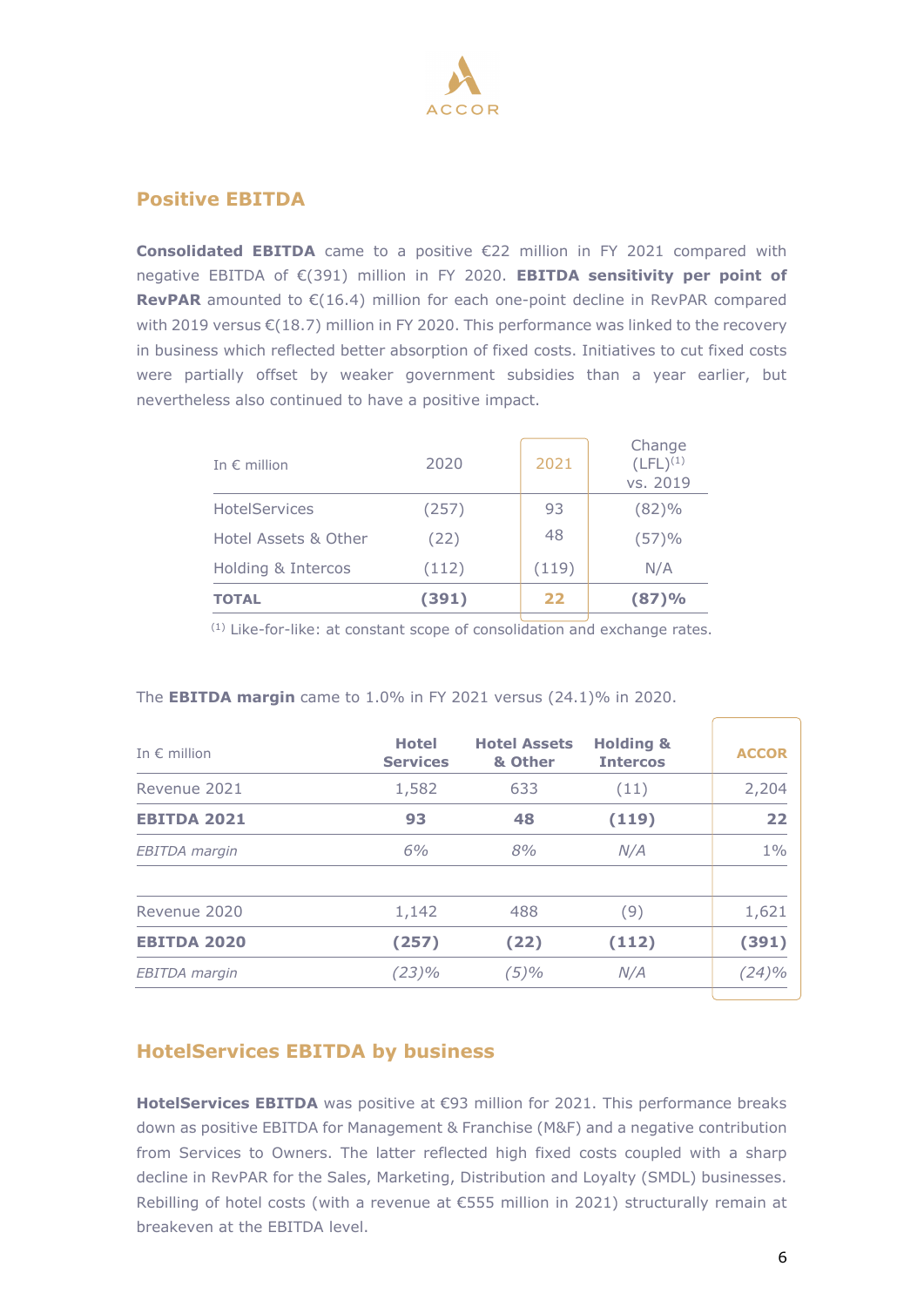

## **Positive EBITDA**

**Consolidated EBITDA** came to a positive €22 million in FY 2021 compared with negative EBITDA of €(391) million in FY 2020. **EBITDA sensitivity per point of RevPAR** amounted to €(16.4) million for each one-point decline in RevPAR compared with 2019 versus €(18.7) million in FY 2020. This performance was linked to the recovery in business which reflected better absorption of fixed costs. Initiatives to cut fixed costs were partially offset by weaker government subsidies than a year earlier, but nevertheless also continued to have a positive impact.

| 48<br>Hotel Assets & Other<br>(22)<br>(112)<br>(119)<br>Holding & Intercos<br>(391)<br>22<br><b>TOTAL</b> | (57)%<br>N/A<br>(87)%               |
|-----------------------------------------------------------------------------------------------------------|-------------------------------------|
|                                                                                                           |                                     |
|                                                                                                           |                                     |
|                                                                                                           |                                     |
| HotelServices<br>(257)<br>93                                                                              | (82)%                               |
| 2021<br>2020<br>In $\epsilon$ million                                                                     | Change<br>$(LFL)^{(1)}$<br>vs. 2019 |

(1) Like-for-like: at constant scope of consolidation and exchange rates.

| <b>Hotel</b><br><b>Services</b> | <b>Hotel Assets</b><br>& Other | <b>Holding &amp;</b><br><b>Intercos</b> | <b>ACCOR</b> |
|---------------------------------|--------------------------------|-----------------------------------------|--------------|
| 1,582                           | 633                            | (11)                                    | 2,204        |
| 93                              | 48                             | (119)                                   | 22           |
| 6%                              | 8%                             | N/A                                     | $1\%$        |
| 1,142                           | 488                            | (9)                                     | 1,621        |
| (257)                           | (22)                           | (112)                                   | (391)        |
| $(23)\%$                        | $(5)\%$                        | N/A                                     | (24)%        |
|                                 |                                |                                         |              |

#### The **EBITDA margin** came to 1.0% in FY 2021 versus (24.1)% in 2020.

## **HotelServices EBITDA by business**

**HotelServices EBITDA** was positive at €93 million for 2021. This performance breaks down as positive EBITDA for Management & Franchise (M&F) and a negative contribution from Services to Owners. The latter reflected high fixed costs coupled with a sharp decline in RevPAR for the Sales, Marketing, Distribution and Loyalty (SMDL) businesses. Rebilling of hotel costs (with a revenue at €555 million in 2021) structurally remain at breakeven at the EBITDA level.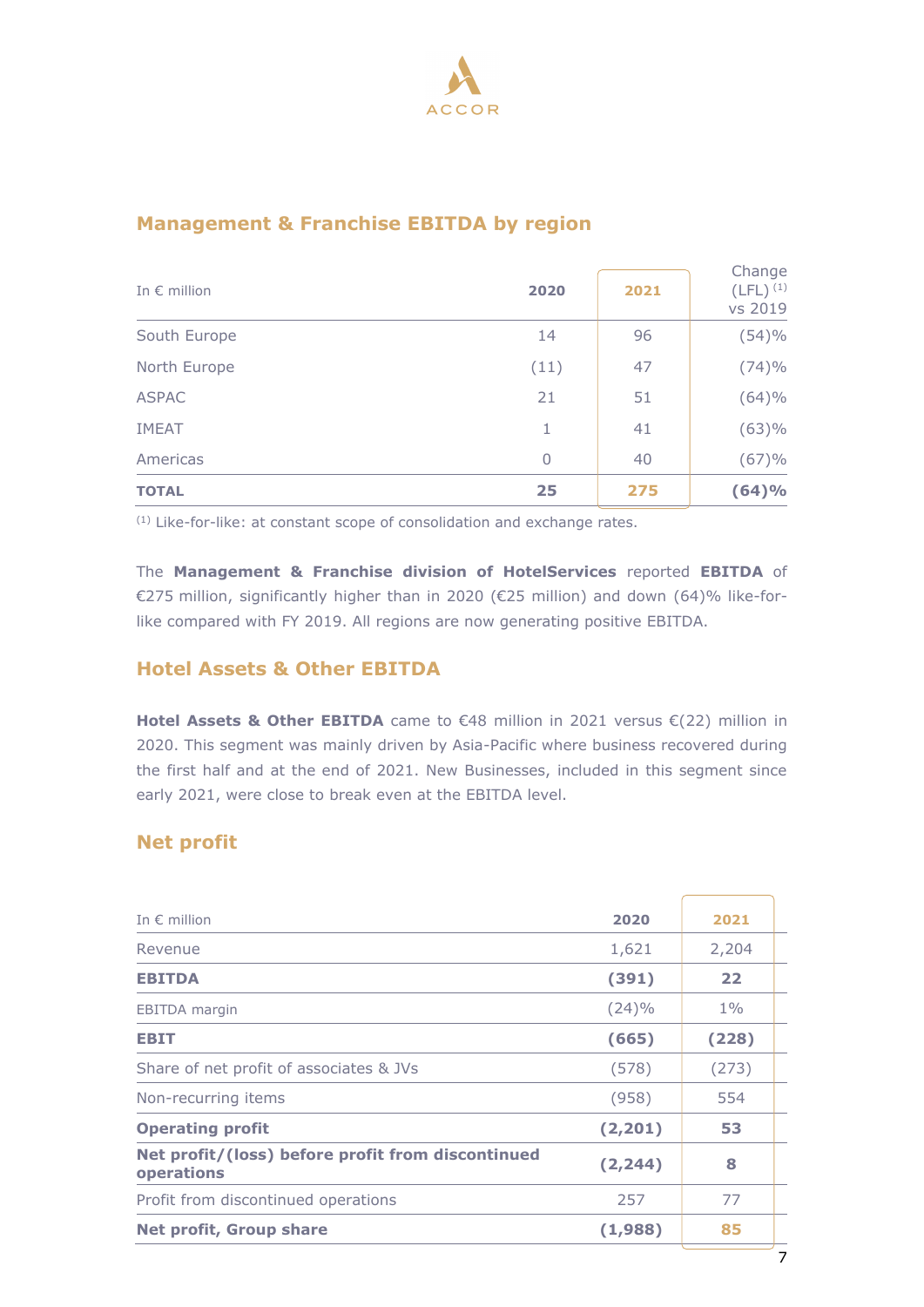

# **Management & Franchise EBITDA by region**

| <b>TOTAL</b>          | 25           | 275 | (64)%                              |  |
|-----------------------|--------------|-----|------------------------------------|--|
| Americas              | $\Omega$     | 40  | (67)%                              |  |
| <b>IMEAT</b>          | $\mathbf{1}$ | 41  | (63)%                              |  |
| <b>ASPAC</b>          | 21           | 51  | (64)%                              |  |
| North Europe          | (11)         | 47  | (74)%                              |  |
| South Europe          | 14           | 96  | (54)%                              |  |
| In $\epsilon$ million | 2020         |     | Change<br>$(LFL)^{(1)}$<br>vs 2019 |  |

(1) Like-for-like: at constant scope of consolidation and exchange rates.

The **Management & Franchise division of HotelServices** reported **EBITDA** of €275 million, significantly higher than in 2020 (€25 million) and down (64)% like-forlike compared with FY 2019. All regions are now generating positive EBITDA.

# **Hotel Assets & Other EBITDA**

**Hotel Assets & Other EBITDA** came to €48 million in 2021 versus €(22) million in 2020. This segment was mainly driven by Asia-Pacific where business recovered during the first half and at the end of 2021. New Businesses, included in this segment since early 2021, were close to break even at the EBITDA level.

# **Net profit**

| In $\epsilon$ million                                           | 2020     | 2021  |  |
|-----------------------------------------------------------------|----------|-------|--|
| Revenue                                                         | 1,621    | 2,204 |  |
| <b>EBITDA</b>                                                   | (391)    | 22    |  |
| <b>EBITDA</b> margin                                            | (24)%    | $1\%$ |  |
| <b>EBIT</b>                                                     | (665)    | (228) |  |
| Share of net profit of associates & JVs                         | (578)    | (273) |  |
| Non-recurring items                                             | (958)    | 554   |  |
| <b>Operating profit</b>                                         | (2,201)  | 53    |  |
| Net profit/(loss) before profit from discontinued<br>operations | (2, 244) | 8     |  |
| Profit from discontinued operations                             | 257      | 77    |  |
| <b>Net profit, Group share</b>                                  | (1,988)  | 85    |  |
|                                                                 |          |       |  |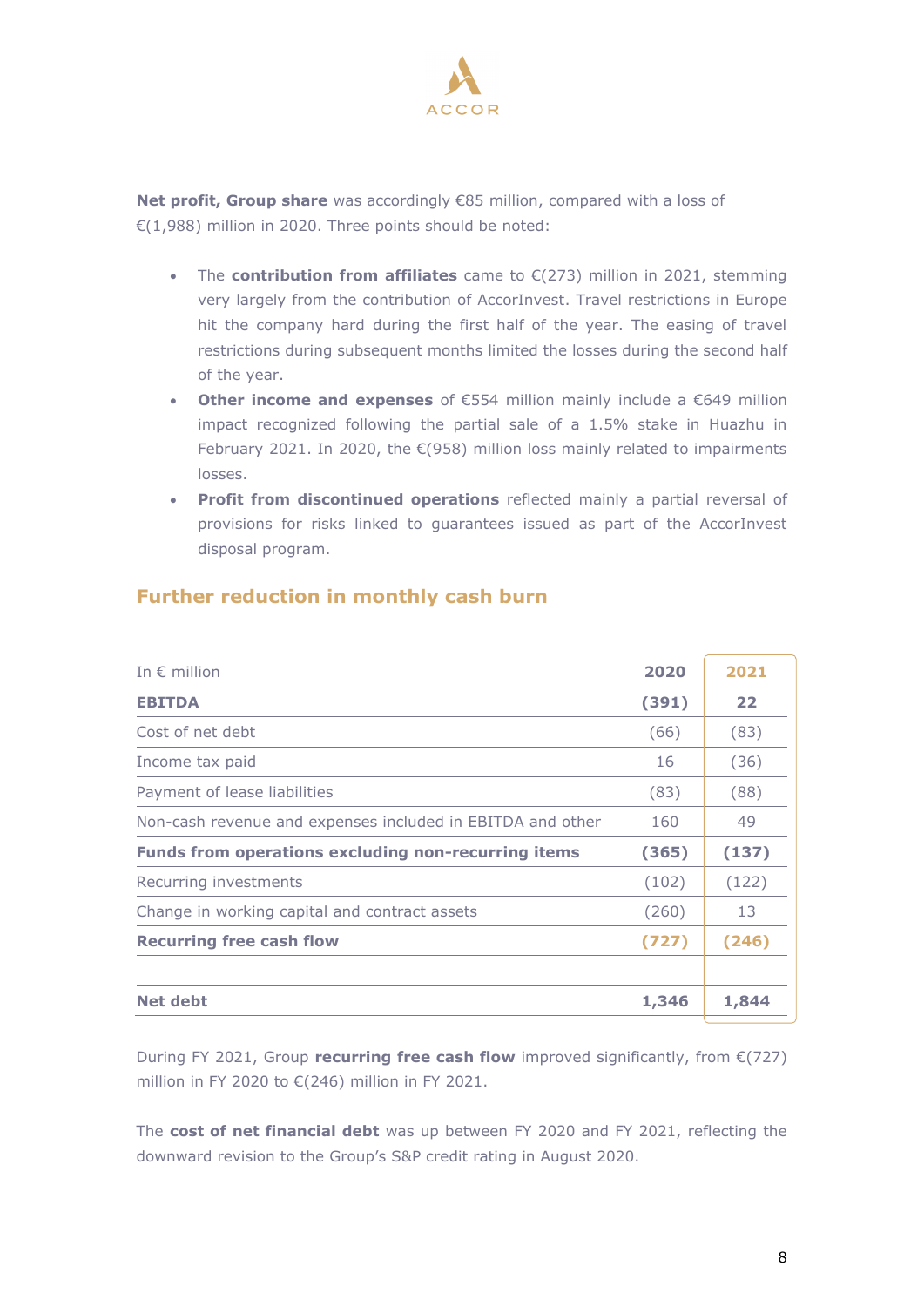

**Net profit, Group share** was accordingly €85 million, compared with a loss of €(1,988) million in 2020. Three points should be noted:

- The **contribution from affiliates** came to €(273) million in 2021, stemming very largely from the contribution of AccorInvest. Travel restrictions in Europe hit the company hard during the first half of the year. The easing of travel restrictions during subsequent months limited the losses during the second half of the year.
- **Other income and expenses** of €554 million mainly include a €649 million impact recognized following the partial sale of a 1.5% stake in Huazhu in February 2021. In 2020, the €(958) million loss mainly related to impairments losses.
- **Profit from discontinued operations** reflected mainly a partial reversal of provisions for risks linked to guarantees issued as part of the AccorInvest disposal program.

| In $\epsilon$ million                                      | 2020  | 2021  |
|------------------------------------------------------------|-------|-------|
| <b>EBITDA</b>                                              | (391) | 22    |
| Cost of net debt                                           | (66)  | (83)  |
| Income tax paid                                            | 16    | (36)  |
| Payment of lease liabilities                               | (83)  | (88)  |
| Non-cash revenue and expenses included in EBITDA and other | 160   | 49    |
| <b>Funds from operations excluding non-recurring items</b> | (365) | (137) |
| Recurring investments                                      | (102) | (122) |
| Change in working capital and contract assets              | (260) | 13    |
| <b>Recurring free cash flow</b>                            | (727) | (246) |
|                                                            |       |       |
| <b>Net debt</b>                                            | 1,346 | 1,844 |

# **Further reduction in monthly cash burn**

During FY 2021, Group **recurring free cash flow** improved significantly, from €(727) million in FY 2020 to €(246) million in FY 2021.

The **cost of net financial debt** was up between FY 2020 and FY 2021, reflecting the downward revision to the Group's S&P credit rating in August 2020.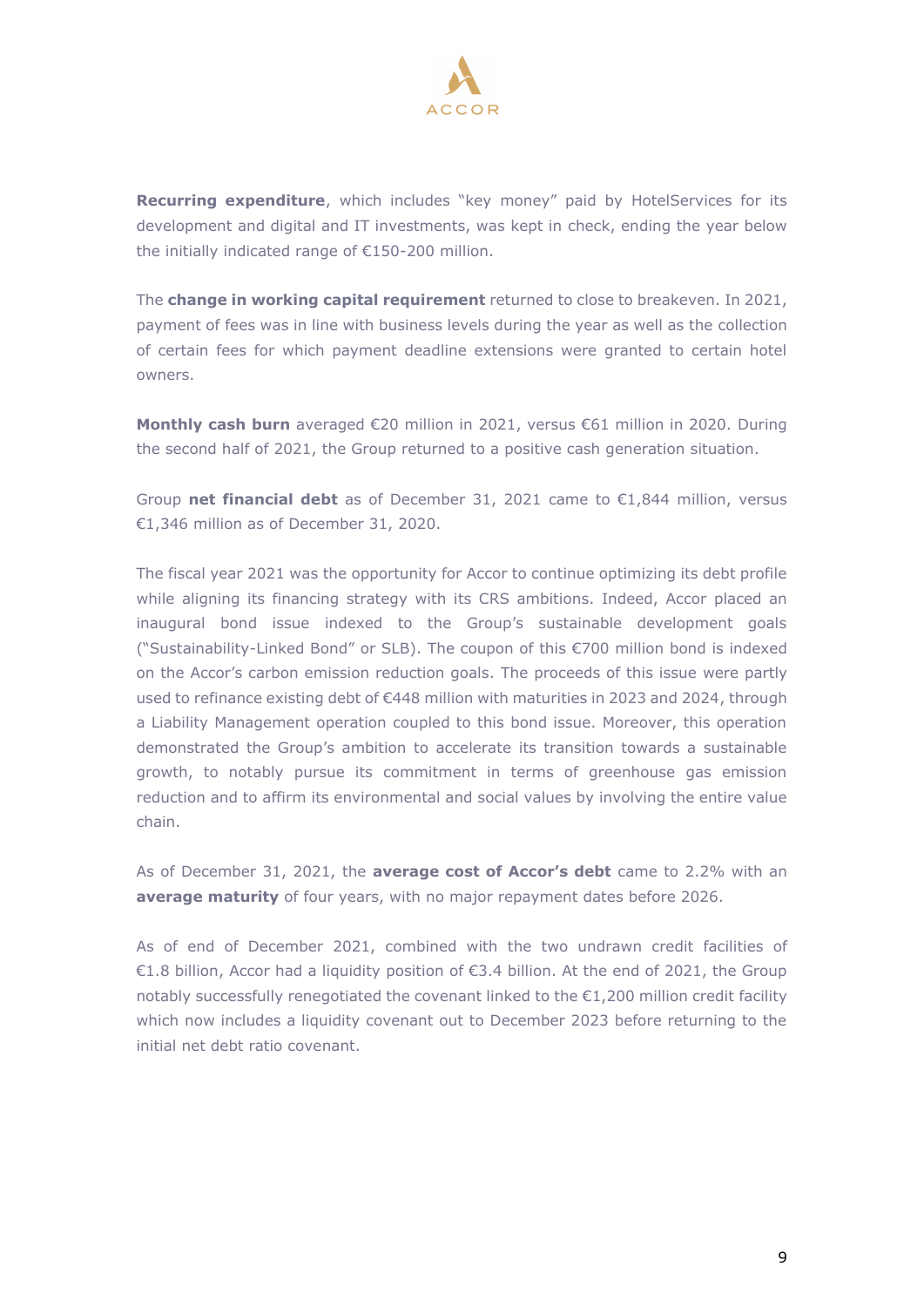

**Recurring expenditure**, which includes "key money" paid by HotelServices for its development and digital and IT investments, was kept in check, ending the year below the initially indicated range of €150-200 million.

The **change in working capital requirement** returned to close to breakeven. In 2021, payment of fees was in line with business levels during the year as well as the collection of certain fees for which payment deadline extensions were granted to certain hotel owners.

**Monthly cash burn** averaged €20 million in 2021, versus €61 million in 2020. During the second half of 2021, the Group returned to a positive cash generation situation.

Group **net financial debt** as of December 31, 2021 came to €1,844 million, versus €1,346 million as of December 31, 2020.

The fiscal year 2021 was the opportunity for Accor to continue optimizing its debt profile while aligning its financing strategy with its CRS ambitions. Indeed, Accor placed an inaugural bond issue indexed to the Group's sustainable development goals ("Sustainability-Linked Bond" or SLB). The coupon of this €700 million bond is indexed on the Accor's carbon emission reduction goals. The proceeds of this issue were partly used to refinance existing debt of €448 million with maturities in 2023 and 2024, through a Liability Management operation coupled to this bond issue. Moreover, this operation demonstrated the Group's ambition to accelerate its transition towards a sustainable growth, to notably pursue its commitment in terms of greenhouse gas emission reduction and to affirm its environmental and social values by involving the entire value chain.

As of December 31, 2021, the **average cost of Accor's debt** came to 2.2% with an **average maturity** of four years, with no major repayment dates before 2026.

As of end of December 2021, combined with the two undrawn credit facilities of €1.8 billion, Accor had a liquidity position of €3.4 billion. At the end of 2021, the Group notably successfully renegotiated the covenant linked to the €1,200 million credit facility which now includes a liquidity covenant out to December 2023 before returning to the initial net debt ratio covenant.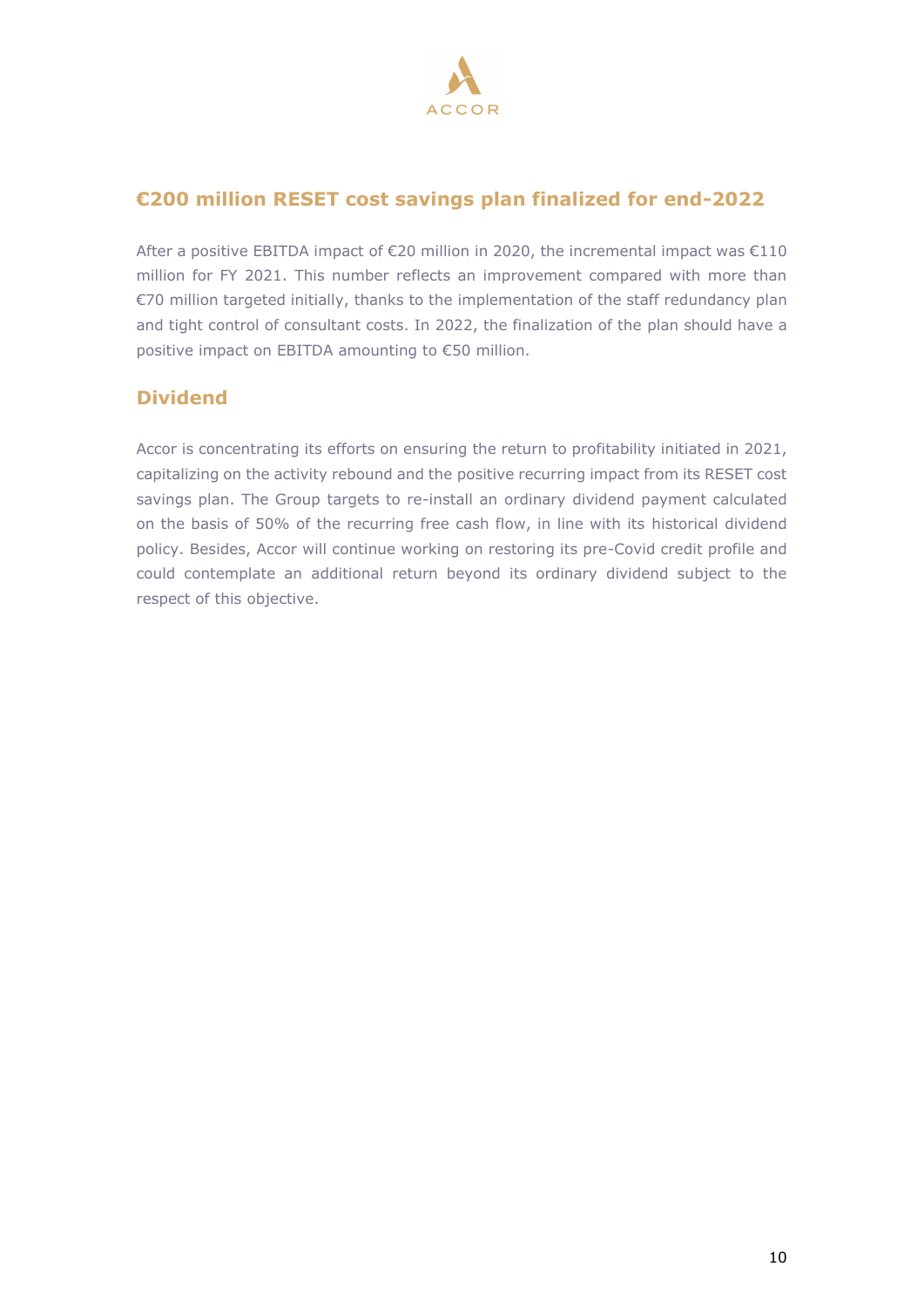

# **€200 million RESET cost savings plan finalized for end-2022**

After a positive EBITDA impact of €20 million in 2020, the incremental impact was €110 million for FY 2021. This number reflects an improvement compared with more than €70 million targeted initially, thanks to the implementation of the staff redundancy plan and tight control of consultant costs. In 2022, the finalization of the plan should have a positive impact on EBITDA amounting to €50 million.

# **Dividend**

Accor is concentrating its efforts on ensuring the return to profitability initiated in 2021, capitalizing on the activity rebound and the positive recurring impact from its RESET cost savings plan. The Group targets to re-install an ordinary dividend payment calculated on the basis of 50% of the recurring free cash flow, in line with its historical dividend policy. Besides, Accor will continue working on restoring its pre-Covid credit profile and could contemplate an additional return beyond its ordinary dividend subject to the respect of this objective.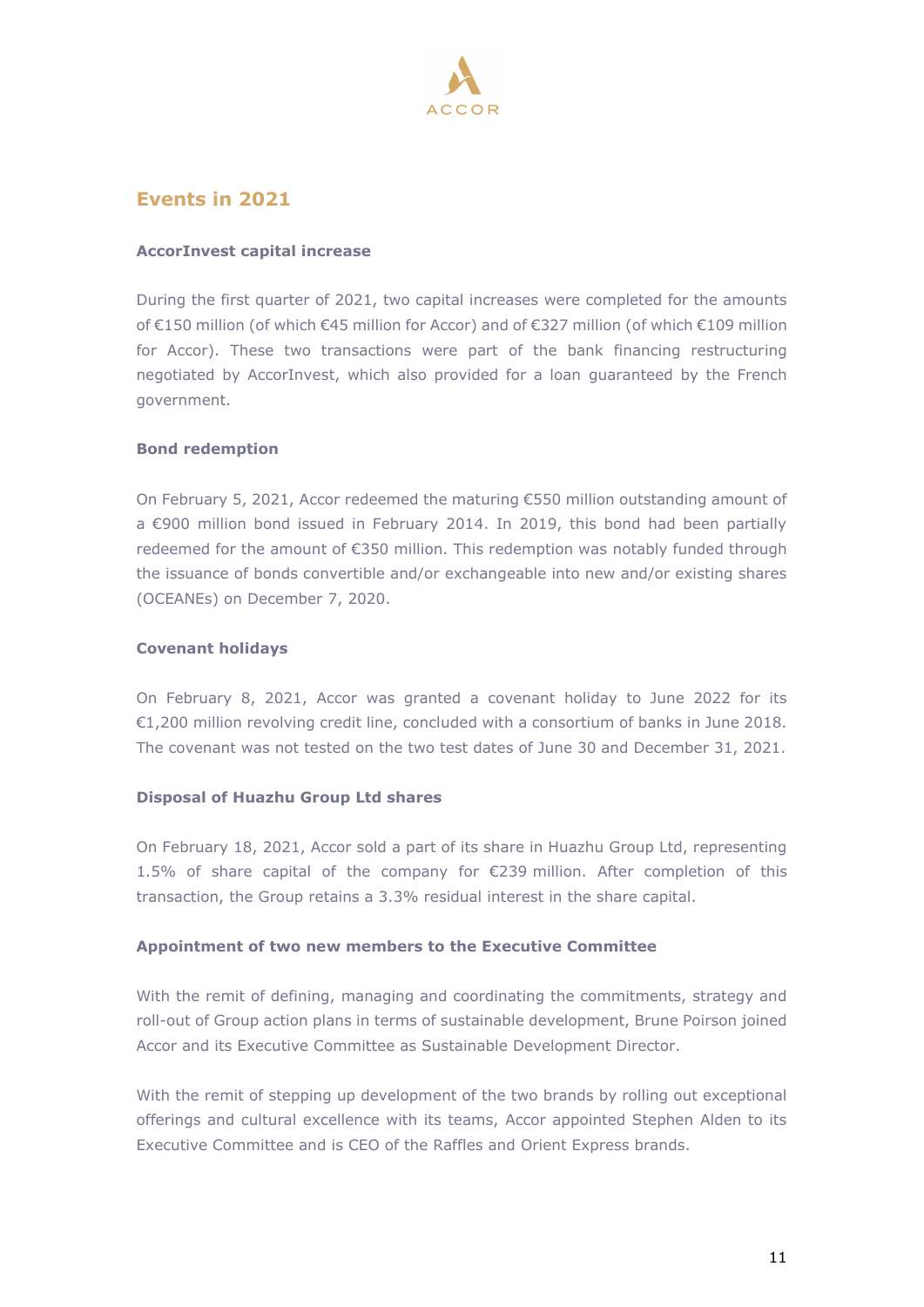

# **Events in 2021**

#### **AccorInvest capital increase**

During the first quarter of 2021, two capital increases were completed for the amounts of €150 million (of which €45 million for Accor) and of €327 million (of which €109 million for Accor). These two transactions were part of the bank financing restructuring negotiated by AccorInvest, which also provided for a loan guaranteed by the French government.

#### **Bond redemption**

On February 5, 2021, Accor redeemed the maturing €550 million outstanding amount of a €900 million bond issued in February 2014. In 2019, this bond had been partially redeemed for the amount of €350 million. This redemption was notably funded through the issuance of bonds convertible and/or exchangeable into new and/or existing shares (OCEANEs) on December 7, 2020.

#### **Covenant holidays**

On February 8, 2021, Accor was granted a covenant holiday to June 2022 for its €1,200 million revolving credit line, concluded with a consortium of banks in June 2018. The covenant was not tested on the two test dates of June 30 and December 31, 2021.

#### **Disposal of Huazhu Group Ltd shares**

On February 18, 2021, Accor sold a part of its share in Huazhu Group Ltd, representing 1.5% of share capital of the company for €239 million. After completion of this transaction, the Group retains a 3.3% residual interest in the share capital.

#### **Appointment of two new members to the Executive Committee**

With the remit of defining, managing and coordinating the commitments, strategy and roll-out of Group action plans in terms of sustainable development, Brune Poirson joined Accor and its Executive Committee as Sustainable Development Director.

With the remit of stepping up development of the two brands by rolling out exceptional offerings and cultural excellence with its teams, Accor appointed Stephen Alden to its Executive Committee and is CEO of the Raffles and Orient Express brands.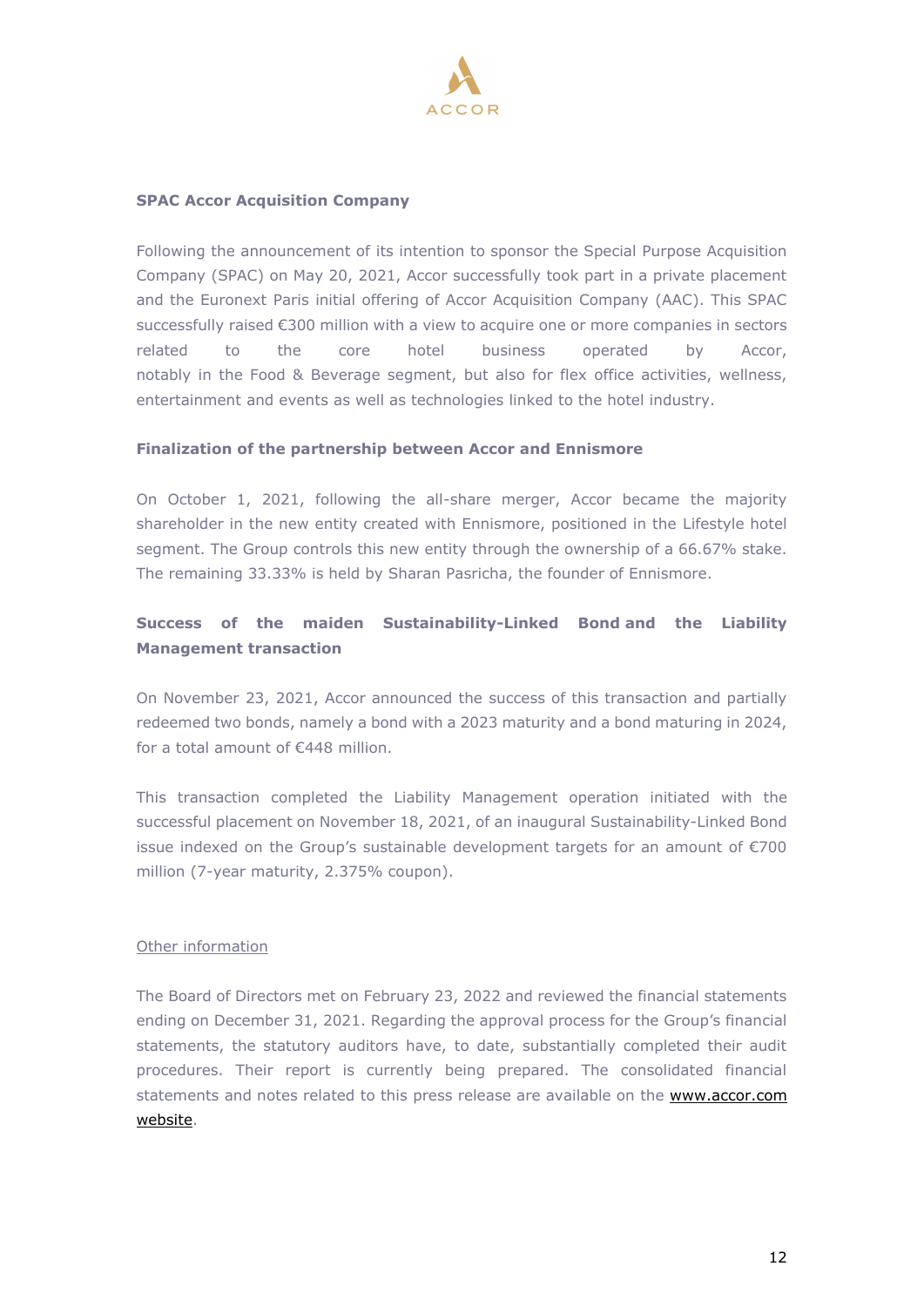

#### **SPAC Accor Acquisition Company**

Following the announcement of its intention to sponsor the Special Purpose Acquisition Company (SPAC) on May 20, 2021, Accor successfully took part in a private placement and the Euronext Paris initial offering of Accor Acquisition Company (AAC). This SPAC successfully raised €300 million with a view to acquire one or more companies in sectors related to the core hotel business operated by Accor, notably in the Food & Beverage segment, but also for flex office activities, wellness, entertainment and events as well as technologies linked to the hotel industry.

#### **Finalization of the partnership between Accor and Ennismore**

On October 1, 2021, following the all-share merger, Accor became the majority shareholder in the new entity created with Ennismore, positioned in the Lifestyle hotel segment. The Group controls this new entity through the ownership of a 66.67% stake. The remaining 33.33% is held by Sharan Pasricha, the founder of Ennismore.

## **Success of the maiden Sustainability-Linked Bond and the Liability Management transaction**

On November 23, 2021, Accor announced the success of this transaction and partially redeemed two bonds, namely a bond with a 2023 maturity and a bond maturing in 2024, for a total amount of €448 million.

This transaction completed the Liability Management operation initiated with the successful placement on November 18, 2021, of an inaugural Sustainability-Linked Bond issue indexed on the Group's sustainable development targets for an amount of €700 million (7-year maturity, 2.375% coupon).

#### Other information

The Board of Directors met on February 23, 2022 and reviewed the financial statements ending on December 31, 2021. Regarding the approval process for the Group's financial statements, the statutory auditors have, to date, substantially completed their audit procedures. Their report is currently being prepared. The consolidated financial statements and notes related to this press release are available on the [www.accor.com](http://www.group.accor.com/)  [website.](http://www.group.accor.com/)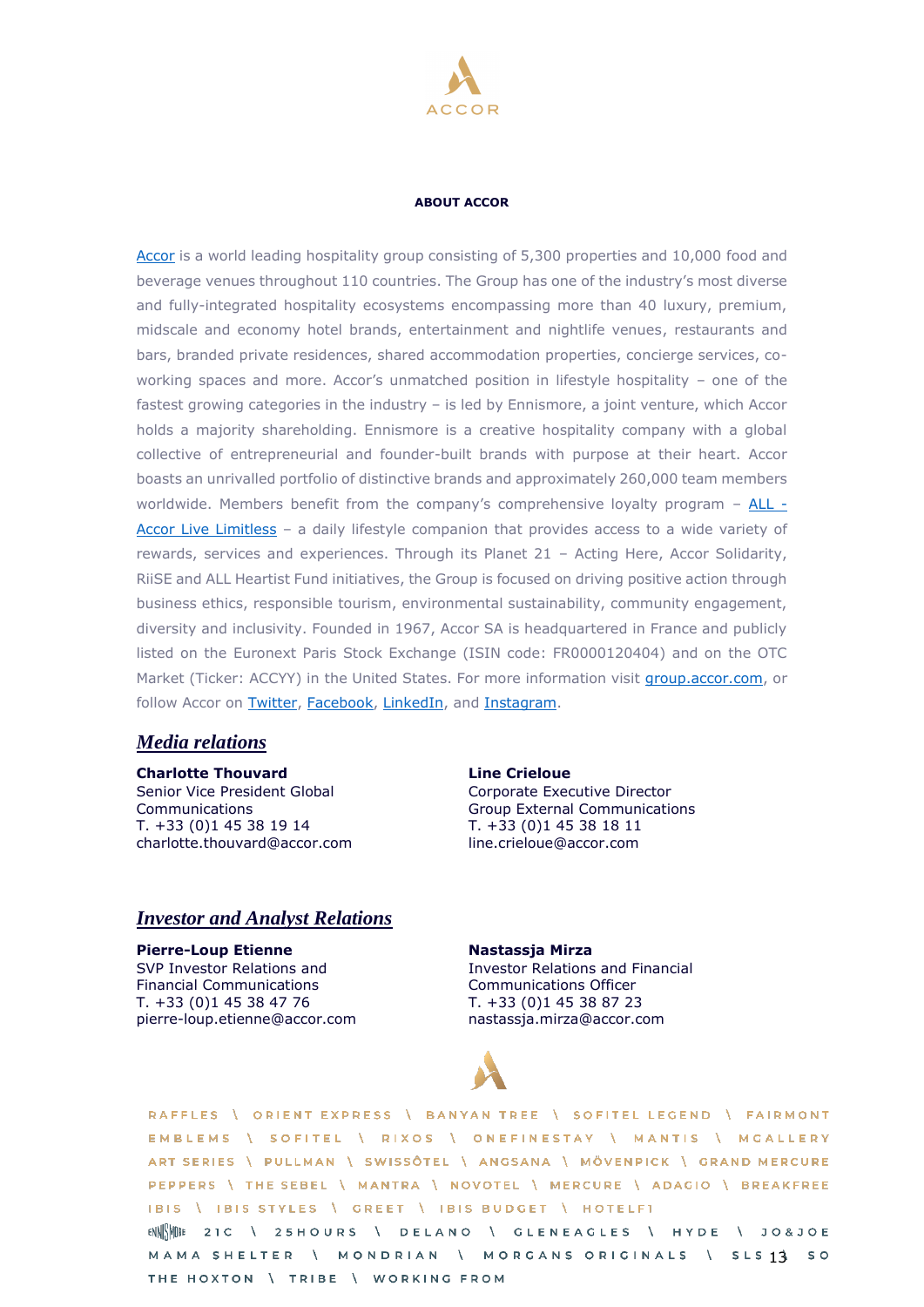

#### **ABOUT ACCOR**

[Accor](https://group.accor.com/fr-FR) is a world leading hospitality group consisting of 5,300 properties and 10,000 food and beverage venues throughout 110 countries. The Group has one of the industry's most diverse and fully-integrated hospitality ecosystems encompassing more than 40 luxury, premium, midscale and economy hotel brands, entertainment and nightlife venues, restaurants and bars, branded private residences, shared accommodation properties, concierge services, coworking spaces and more. Accor's unmatched position in lifestyle hospitality – one of the fastest growing categories in the industry – is led by Ennismore, a joint venture, which Accor holds a majority shareholding. Ennismore is a creative hospitality company with a global collective of entrepreneurial and founder-built brands with purpose at their heart. Accor boasts an unrivalled portfolio of distinctive brands and approximately 260,000 team members worldwide. Members benefit from the company's comprehensive loyalty program – [ALL -](https://all.accor.com/united-kingdom/index.en.shtml) [Accor Live Limitless](https://all.accor.com/united-kingdom/index.en.shtml) - a daily lifestyle companion that provides access to a wide variety of rewards, services and experiences. Through its Planet 21 – Acting Here, Accor Solidarity, RiiSE and ALL Heartist Fund initiatives, the Group is focused on driving positive action through business ethics, responsible tourism, environmental sustainability, community engagement, diversity and inclusivity. Founded in 1967, Accor SA is headquartered in France and publicly listed on the Euronext Paris Stock Exchange (ISIN code: FR0000120404) and on the OTC Market (Ticker: ACCYY) in the United States. For more information visit [group.accor.com,](https://all.accor.com/usa/index.en.shtml) or follow Accor on [Twitter,](https://twitter.com/Accor) [Facebook,](https://www.facebook.com/accorFR/) [LinkedIn,](https://www.linkedin.com/company/accor/) and [Instagram.](https://www.instagram.com/accor)

#### *Media relations*

**Charlotte Thouvard** Senior Vice President Global Communications T. +33 (0)1 45 38 19 14 charlotte.thouvard@accor.com

**Line Crieloue** Corporate Executive Director Group External Communications T. +33 (0)1 45 38 18 11 line.crieloue@accor.com

#### *Investor and Analyst Relations*

**Pierre-Loup Etienne** SVP Investor Relations and Financial Communications T. +33 (0)1 45 38 47 76 pierre-loup.etienne@accor.com

#### **Nastassja Mirza**

Investor Relations and Financial Communications Officer T. +33 (0)1 45 38 87 23 nastassja.mirza@accor.com



RAFFLES \ ORIENT EXPRESS \ BANYAN TREE \ SOFITEL LEGEND \ FAIRMONT EMBLEMS \ SOFITEL \ RIXOS \ ONEFINESTAY \ MANTIS \ MGALLERY ART SERIES \ PULLMAN \ SWISSÔTEL \ ANGSANA \ MÖVENPICK \ GRAND MERCURE PEPPERS \ THE SEBEL \ MANTRA \ NOVOTEL \ MERCURE \ ADAGIO \ BREAKFREE IBIS \ IBIS STYLES \ GREET \ IBIS BUDGET \ HOTELFI ENNEMBLE 21C \ 25 HOURS \ DELANO \ GLENEAGLES \ HYDE \ JO&JOE

MAMA SHELTER \ MONDRIAN \ MORGANS ORIGINALS \ SLS13 SO THE HOXTON \ TRIBE \ WORKING FROM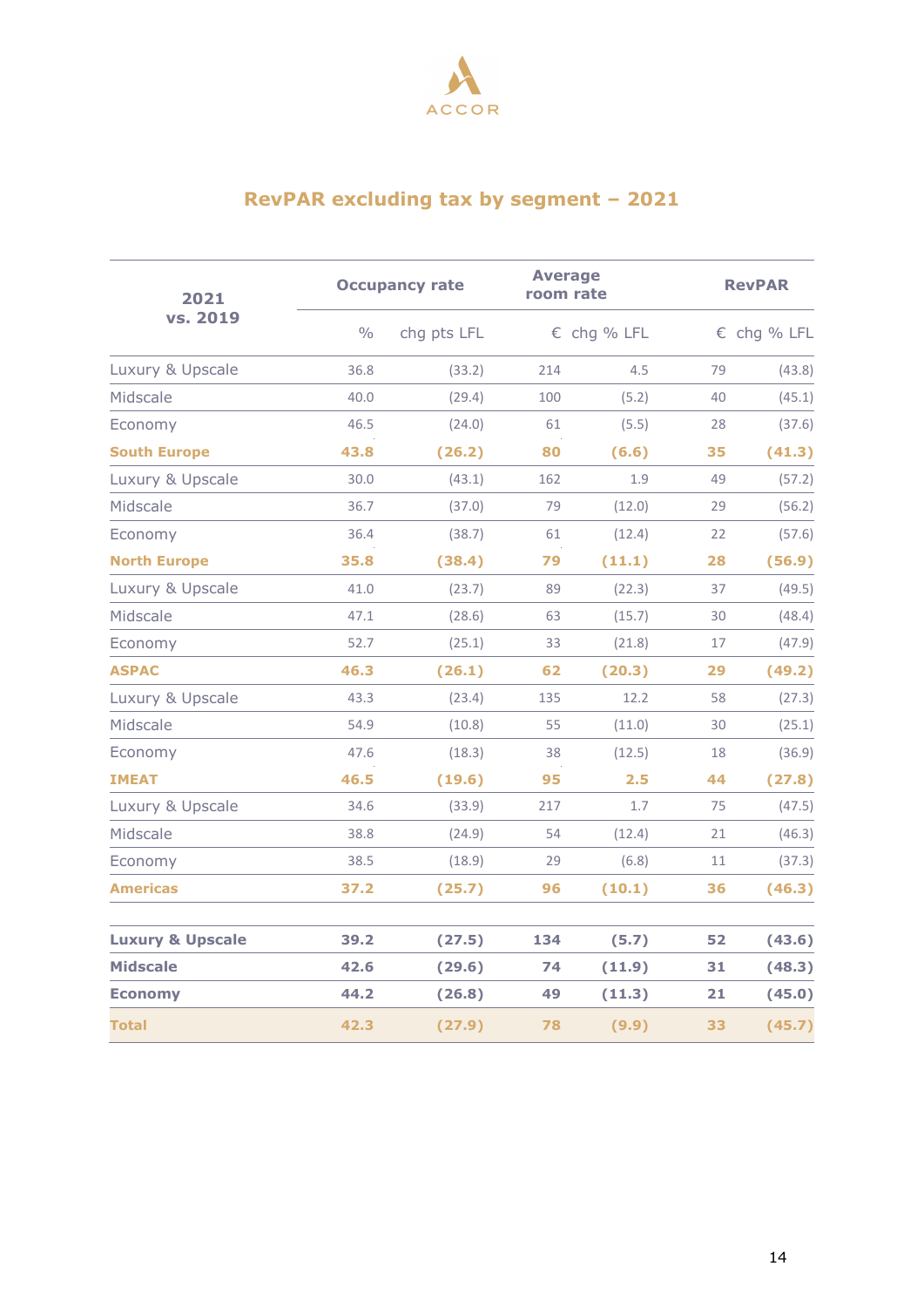

# **RevPAR excluding tax by segment – 2021**

| 2021                        |               | <b>Occupancy rate</b> |     | <b>Average</b><br>room rate |    | <b>RevPAR</b> |  |  |
|-----------------------------|---------------|-----------------------|-----|-----------------------------|----|---------------|--|--|
| vs. 2019                    | $\frac{0}{0}$ | chg pts LFL           |     | € chg % LFL                 |    | € chg % LFL   |  |  |
| Luxury & Upscale            | 36.8          | (33.2)                | 214 | 4.5                         | 79 | (43.8)        |  |  |
| Midscale                    | 40.0          | (29.4)                | 100 | (5.2)                       | 40 | (45.1)        |  |  |
| Economy                     | 46.5          | (24.0)                | 61  | (5.5)                       | 28 | (37.6)        |  |  |
| <b>South Europe</b>         | 43.8          | (26.2)                | 80  | (6.6)                       | 35 | (41.3)        |  |  |
| Luxury & Upscale            | 30.0          | (43.1)                | 162 | 1.9                         | 49 | (57.2)        |  |  |
| Midscale                    | 36.7          | (37.0)                | 79  | (12.0)                      | 29 | (56.2)        |  |  |
| Economy                     | 36.4          | (38.7)                | 61  | (12.4)                      | 22 | (57.6)        |  |  |
| <b>North Europe</b>         | 35.8          | (38.4)                | 79  | (11.1)                      | 28 | (56.9)        |  |  |
| Luxury & Upscale            | 41.0          | (23.7)                | 89  | (22.3)                      | 37 | (49.5)        |  |  |
| Midscale                    | 47.1          | (28.6)                | 63  | (15.7)                      | 30 | (48.4)        |  |  |
| Economy                     | 52.7          | (25.1)                | 33  | (21.8)                      | 17 | (47.9)        |  |  |
| <b>ASPAC</b>                | 46.3          | (26.1)                | 62  | (20.3)                      | 29 | (49.2)        |  |  |
| Luxury & Upscale            | 43.3          | (23.4)                | 135 | 12.2                        | 58 | (27.3)        |  |  |
| Midscale                    | 54.9          | (10.8)                | 55  | (11.0)                      | 30 | (25.1)        |  |  |
| Economy                     | 47.6          | (18.3)                | 38  | (12.5)                      | 18 | (36.9)        |  |  |
| <b>IMEAT</b>                | 46.5          | (19.6)                | 95  | 2.5                         | 44 | (27.8)        |  |  |
| Luxury & Upscale            | 34.6          | (33.9)                | 217 | 1.7                         | 75 | (47.5)        |  |  |
| Midscale                    | 38.8          | (24.9)                | 54  | (12.4)                      | 21 | (46.3)        |  |  |
| Economy                     | 38.5          | (18.9)                | 29  | (6.8)                       | 11 | (37.3)        |  |  |
| <b>Americas</b>             | 37.2          | (25.7)                | 96  | (10.1)                      | 36 | (46.3)        |  |  |
| <b>Luxury &amp; Upscale</b> | 39.2          | (27.5)                | 134 | (5.7)                       | 52 | (43.6)        |  |  |
| <b>Midscale</b>             | 42.6          | (29.6)                | 74  | (11.9)                      | 31 | (48.3)        |  |  |
| <b>Economy</b>              | 44.2          | (26.8)                | 49  | (11.3)                      | 21 | (45.0)        |  |  |
| <b>Total</b>                | 42.3          | (27.9)                | 78  | (9.9)                       | 33 | (45.7)        |  |  |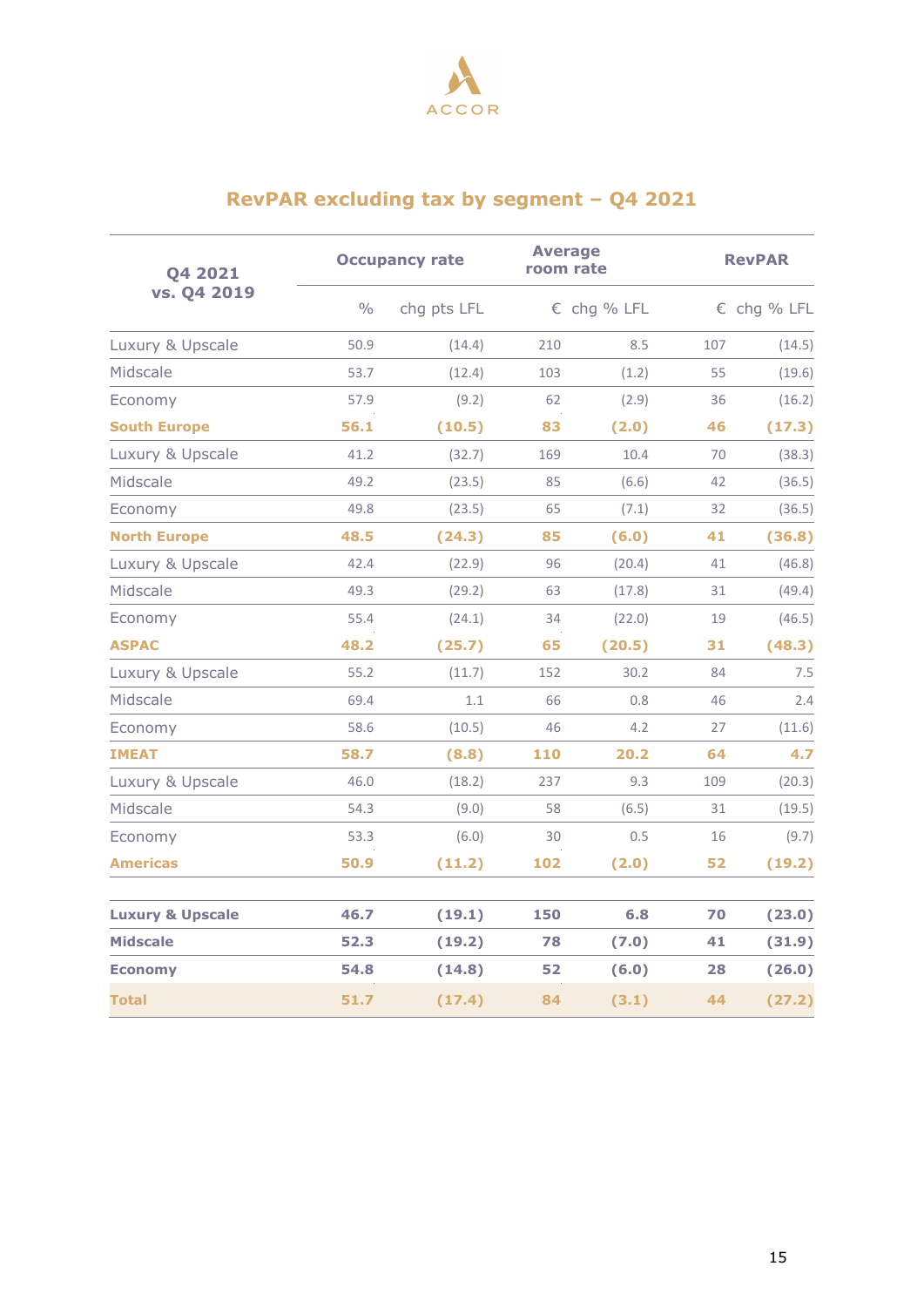

# **RevPAR excluding tax by segment – Q4 2021**

| 04 2021                     |               | <b>Occupancy rate</b> |     | <b>Average</b><br>room rate |     | <b>RevPAR</b> |  |  |
|-----------------------------|---------------|-----------------------|-----|-----------------------------|-----|---------------|--|--|
| vs. Q4 2019                 | $\frac{0}{0}$ | chg pts LFL           |     | € chg % LFL                 |     | € chg % LFL   |  |  |
| Luxury & Upscale            | 50.9          | (14.4)                | 210 | 8.5                         | 107 | (14.5)        |  |  |
| Midscale                    | 53.7          | (12.4)                | 103 | (1.2)                       | 55  | (19.6)        |  |  |
| Economy                     | 57.9          | (9.2)                 | 62  | (2.9)                       | 36  | (16.2)        |  |  |
| <b>South Europe</b>         | 56.1          | (10.5)                | 83  | (2.0)                       | 46  | (17.3)        |  |  |
| Luxury & Upscale            | 41.2          | (32.7)                | 169 | 10.4                        | 70  | (38.3)        |  |  |
| Midscale                    | 49.2          | (23.5)                | 85  | (6.6)                       | 42  | (36.5)        |  |  |
| Economy                     | 49.8          | (23.5)                | 65  | (7.1)                       | 32  | (36.5)        |  |  |
| <b>North Europe</b>         | 48.5          | (24.3)                | 85  | (6.0)                       | 41  | (36.8)        |  |  |
| Luxury & Upscale            | 42.4          | (22.9)                | 96  | (20.4)                      | 41  | (46.8)        |  |  |
| Midscale                    | 49.3          | (29.2)                | 63  | (17.8)                      | 31  | (49.4)        |  |  |
| Economy                     | 55.4          | (24.1)                | 34  | (22.0)                      | 19  | (46.5)        |  |  |
| <b>ASPAC</b>                | 48.2          | (25.7)                | 65  | (20.5)                      | 31  | (48.3)        |  |  |
| Luxury & Upscale            | 55.2          | (11.7)                | 152 | 30.2                        | 84  | 7.5           |  |  |
| Midscale                    | 69.4          | 1.1                   | 66  | 0.8                         | 46  | 2.4           |  |  |
| Economy                     | 58.6          | (10.5)                | 46  | 4.2                         | 27  | (11.6)        |  |  |
| <b>IMEAT</b>                | 58.7          | (8.8)                 | 110 | 20.2                        | 64  | 4.7           |  |  |
| Luxury & Upscale            | 46.0          | (18.2)                | 237 | 9.3                         | 109 | (20.3)        |  |  |
| Midscale                    | 54.3          | (9.0)                 | 58  | (6.5)                       | 31  | (19.5)        |  |  |
| Economy                     | 53.3          | (6.0)                 | 30  | 0.5                         | 16  | (9.7)         |  |  |
| <b>Americas</b>             | 50.9          | (11.2)                | 102 | (2.0)                       | 52  | (19.2)        |  |  |
| <b>Luxury &amp; Upscale</b> | 46.7          | (19.1)                | 150 | 6.8                         | 70  | (23.0)        |  |  |
| <b>Midscale</b>             | 52.3          | (19.2)                | 78  | (7.0)                       | 41  | (31.9)        |  |  |
| <b>Economy</b>              | 54.8          | (14.8)                | 52  | (6.0)                       | 28  | (26.0)        |  |  |
| <b>Total</b>                | 51.7          | (17.4)                | 84  | (3.1)                       | 44  | (27.2)        |  |  |